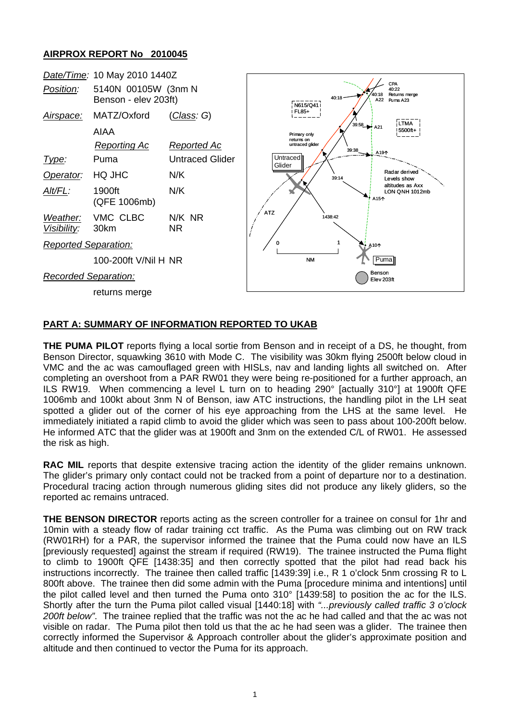## **AIRPROX REPORT No 2010045**



## **PART A: SUMMARY OF INFORMATION REPORTED TO UKAB**

**THE PUMA PILOT** reports flying a local sortie from Benson and in receipt of a DS, he thought, from Benson Director, squawking 3610 with Mode C. The visibility was 30km flying 2500ft below cloud in VMC and the ac was camouflaged green with HISLs, nav and landing lights all switched on. After completing an overshoot from a PAR RW01 they were being re-positioned for a further approach, an ILS RW19. When commencing a level L turn on to heading 290° [actually 310°] at 1900ft QFE 1006mb and 100kt about 3nm N of Benson, iaw ATC instructions, the handling pilot in the LH seat spotted a glider out of the corner of his eve approaching from the LHS at the same level. He immediately initiated a rapid climb to avoid the glider which was seen to pass about 100-200ft below. He informed ATC that the glider was at 1900ft and 3nm on the extended C/L of RW01. He assessed the risk as high.

**RAC MIL** reports that despite extensive tracing action the identity of the glider remains unknown. The glider's primary only contact could not be tracked from a point of departure nor to a destination. Procedural tracing action through numerous gliding sites did not produce any likely gliders, so the reported ac remains untraced.

**THE BENSON DIRECTOR** reports acting as the screen controller for a trainee on consul for 1hr and 10min with a steady flow of radar training cct traffic. As the Puma was climbing out on RW track (RW01RH) for a PAR, the supervisor informed the trainee that the Puma could now have an ILS [previously requested] against the stream if required (RW19). The trainee instructed the Puma flight to climb to 1900ft QFE [1438:35] and then correctly spotted that the pilot had read back his instructions incorrectly. The trainee then called traffic [1439:39] i.e., R 1 o'clock 5nm crossing R to L 800ft above. The trainee then did some admin with the Puma [procedure minima and intentions] until the pilot called level and then turned the Puma onto 310° [1439:58] to position the ac for the ILS. Shortly after the turn the Puma pilot called visual [1440:18] with *"...previously called traffic 3 o'clock 200ft below"*. The trainee replied that the traffic was not the ac he had called and that the ac was not visible on radar. The Puma pilot then told us that the ac he had seen was a glider. The trainee then correctly informed the Supervisor & Approach controller about the glider's approximate position and altitude and then continued to vector the Puma for its approach.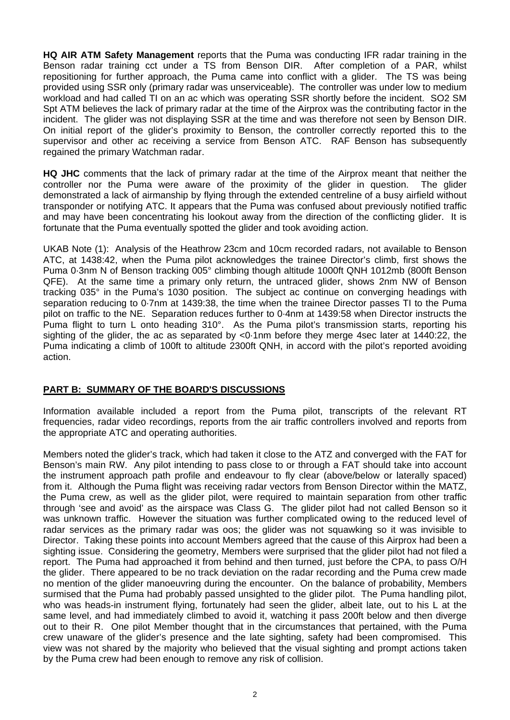**HQ AIR ATM Safety Management** reports that the Puma was conducting IFR radar training in the Benson radar training cct under a TS from Benson DIR. After completion of a PAR, whilst repositioning for further approach, the Puma came into conflict with a glider. The TS was being provided using SSR only (primary radar was unserviceable). The controller was under low to medium workload and had called TI on an ac which was operating SSR shortly before the incident. SO2 SM Spt ATM believes the lack of primary radar at the time of the Airprox was the contributing factor in the incident. The glider was not displaying SSR at the time and was therefore not seen by Benson DIR. On initial report of the glider's proximity to Benson, the controller correctly reported this to the supervisor and other ac receiving a service from Benson ATC. RAF Benson has subsequently regained the primary Watchman radar.

**HQ JHC** comments that the lack of primary radar at the time of the Airprox meant that neither the controller nor the Puma were aware of the proximity of the glider in question. The glider demonstrated a lack of airmanship by flying through the extended centreline of a busy airfield without transponder or notifying ATC. It appears that the Puma was confused about previously notified traffic and may have been concentrating his lookout away from the direction of the conflicting glider. It is fortunate that the Puma eventually spotted the glider and took avoiding action.

UKAB Note (1): Analysis of the Heathrow 23cm and 10cm recorded radars, not available to Benson ATC, at 1438:42, when the Puma pilot acknowledges the trainee Director's climb, first shows the Puma 0·3nm N of Benson tracking 005° climbing though altitude 1000ft QNH 1012mb (800ft Benson QFE). At the same time a primary only return, the untraced glider, shows 2nm NW of Benson tracking 035° in the Puma's 1030 position. The subject ac continue on converging headings with separation reducing to 0·7nm at 1439:38, the time when the trainee Director passes TI to the Puma pilot on traffic to the NE. Separation reduces further to 0·4nm at 1439:58 when Director instructs the Puma flight to turn L onto heading 310°. As the Puma pilot's transmission starts, reporting his sighting of the glider, the ac as separated by <0·1nm before they merge 4sec later at 1440:22, the Puma indicating a climb of 100ft to altitude 2300ft QNH, in accord with the pilot's reported avoiding action.

## **PART B: SUMMARY OF THE BOARD'S DISCUSSIONS**

Information available included a report from the Puma pilot, transcripts of the relevant RT frequencies, radar video recordings, reports from the air traffic controllers involved and reports from the appropriate ATC and operating authorities.

Members noted the glider's track, which had taken it close to the ATZ and converged with the FAT for Benson's main RW. Any pilot intending to pass close to or through a FAT should take into account the instrument approach path profile and endeavour to fly clear (above/below or laterally spaced) from it. Although the Puma flight was receiving radar vectors from Benson Director within the MATZ, the Puma crew, as well as the glider pilot, were required to maintain separation from other traffic through 'see and avoid' as the airspace was Class G. The glider pilot had not called Benson so it was unknown traffic. However the situation was further complicated owing to the reduced level of radar services as the primary radar was oos; the glider was not squawking so it was invisible to Director. Taking these points into account Members agreed that the cause of this Airprox had been a sighting issue. Considering the geometry, Members were surprised that the glider pilot had not filed a report. The Puma had approached it from behind and then turned, just before the CPA, to pass O/H the glider. There appeared to be no track deviation on the radar recording and the Puma crew made no mention of the glider manoeuvring during the encounter. On the balance of probability, Members surmised that the Puma had probably passed unsighted to the glider pilot. The Puma handling pilot, who was heads-in instrument flying, fortunately had seen the glider, albeit late, out to his L at the same level, and had immediately climbed to avoid it, watching it pass 200ft below and then diverge out to their R. One pilot Member thought that in the circumstances that pertained, with the Puma crew unaware of the glider's presence and the late sighting, safety had been compromised. This view was not shared by the majority who believed that the visual sighting and prompt actions taken by the Puma crew had been enough to remove any risk of collision.